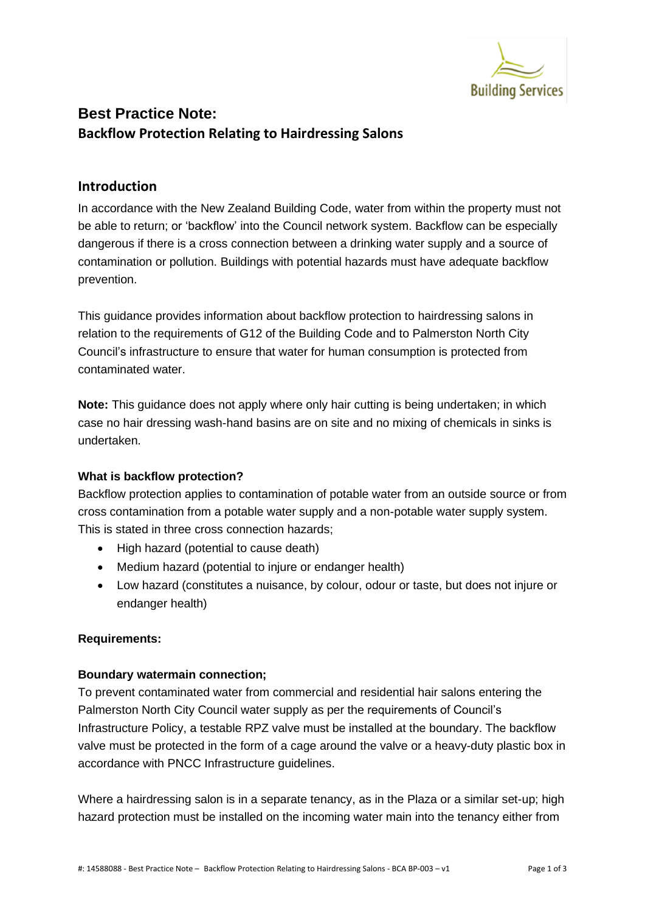

## **Best Practice Note: Backflow Protection Relating to Hairdressing Salons**

## **Introduction**

In accordance with the New Zealand Building Code, water from within the property must not be able to return; or 'backflow' into the Council network system. Backflow can be especially dangerous if there is a cross connection between a drinking water supply and a source of contamination or pollution. Buildings with potential hazards must have adequate backflow prevention.

This guidance provides information about backflow protection to hairdressing salons in relation to the requirements of G12 of the Building Code and to Palmerston North City Council's infrastructure to ensure that water for human consumption is protected from contaminated water.

**Note:** This guidance does not apply where only hair cutting is being undertaken; in which case no hair dressing wash-hand basins are on site and no mixing of chemicals in sinks is undertaken.

#### **What is backflow protection?**

Backflow protection applies to contamination of potable water from an outside source or from cross contamination from a potable water supply and a non-potable water supply system. This is stated in three cross connection hazards;

- High hazard (potential to cause death)
- Medium hazard (potential to injure or endanger health)
- Low hazard (constitutes a nuisance, by colour, odour or taste, but does not injure or endanger health)

### **Requirements:**

### **Boundary watermain connection;**

To prevent contaminated water from commercial and residential hair salons entering the Palmerston North City Council water supply as per the requirements of Council's Infrastructure Policy, a testable RPZ valve must be installed at the boundary. The backflow valve must be protected in the form of a cage around the valve or a heavy-duty plastic box in accordance with PNCC Infrastructure guidelines.

Where a hairdressing salon is in a separate tenancy, as in the Plaza or a similar set-up; high hazard protection must be installed on the incoming water main into the tenancy either from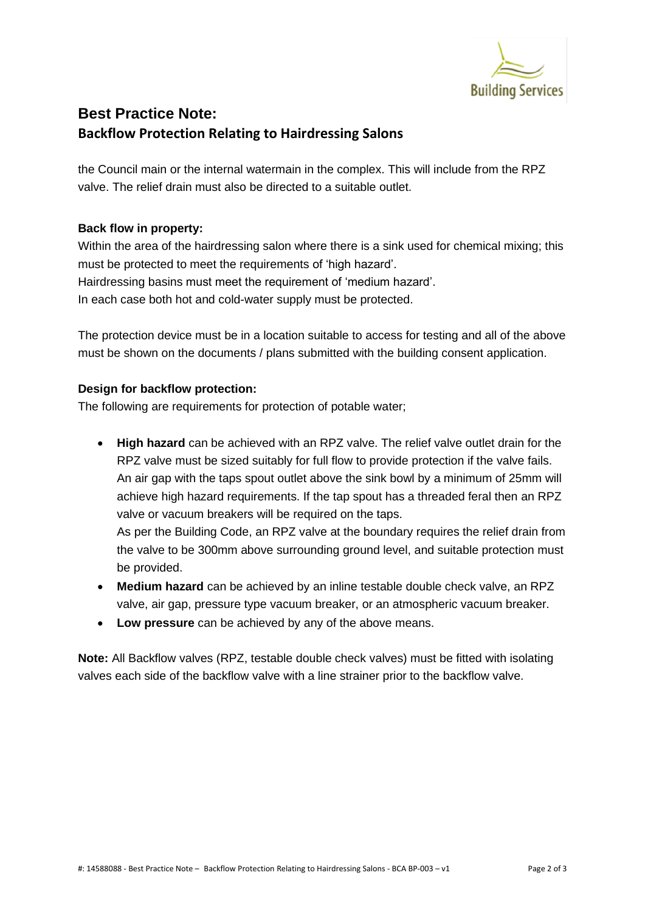

## **Best Practice Note: Backflow Protection Relating to Hairdressing Salons**

the Council main or the internal watermain in the complex. This will include from the RPZ valve. The relief drain must also be directed to a suitable outlet.

### **Back flow in property:**

Within the area of the hairdressing salon where there is a sink used for chemical mixing; this must be protected to meet the requirements of 'high hazard'. Hairdressing basins must meet the requirement of 'medium hazard'. In each case both hot and cold-water supply must be protected.

The protection device must be in a location suitable to access for testing and all of the above must be shown on the documents / plans submitted with the building consent application.

### **Design for backflow protection:**

The following are requirements for protection of potable water;

• **High hazard** can be achieved with an RPZ valve. The relief valve outlet drain for the RPZ valve must be sized suitably for full flow to provide protection if the valve fails. An air gap with the taps spout outlet above the sink bowl by a minimum of 25mm will achieve high hazard requirements. If the tap spout has a threaded feral then an RPZ valve or vacuum breakers will be required on the taps. As per the Building Code, an RPZ valve at the boundary requires the relief drain from

the valve to be 300mm above surrounding ground level, and suitable protection must be provided.

- **Medium hazard** can be achieved by an inline testable double check valve, an RPZ valve, air gap, pressure type vacuum breaker, or an atmospheric vacuum breaker.
- **Low pressure** can be achieved by any of the above means.

**Note:** All Backflow valves (RPZ, testable double check valves) must be fitted with isolating valves each side of the backflow valve with a line strainer prior to the backflow valve.